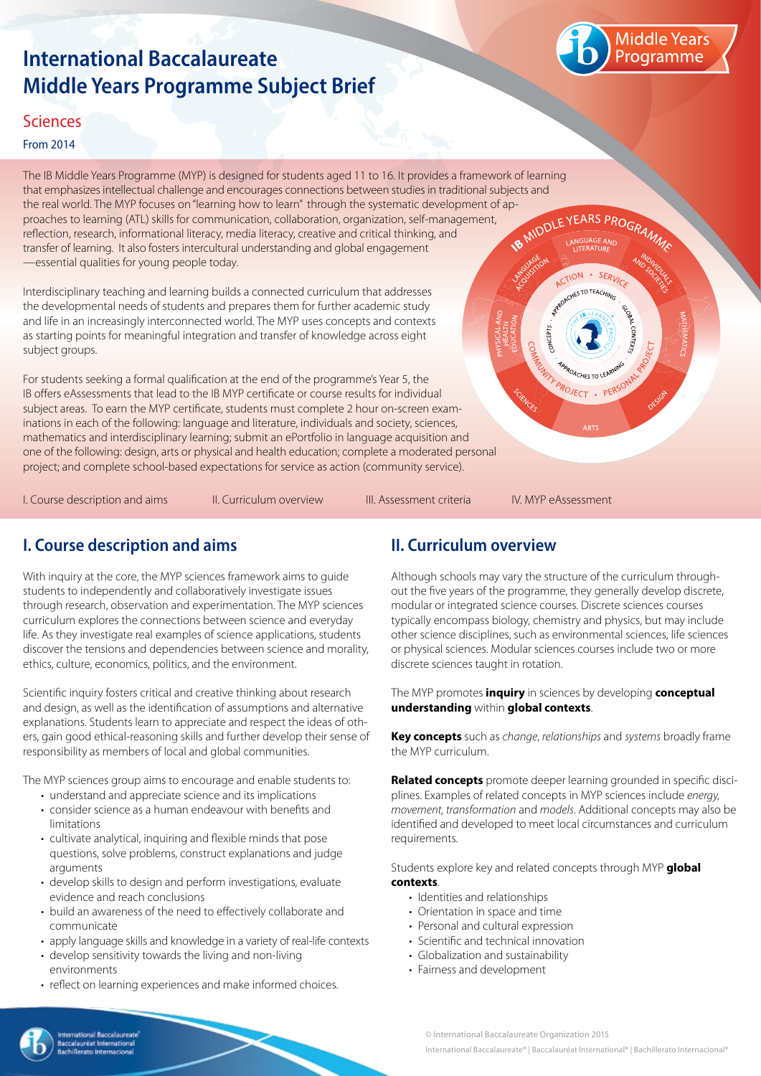# **International Baccalaureate Middle Years Programme Subject Brief**



#### **Sciences**

#### From 2014

The IB Middle Years Programme (MYP) is designed for students aged 11 to 16. It provides a framework of learning that emphasizes intellectual challenge and encourages connections between studies in traditional subjects and the real world. The MYP focuses on "learning how to learn" through the systematic development of ap-<br>proaches to learning (ATL) skills for communication, collaboration, organization, self-management,<br>reflection, research, proaches to learning (ATL) skills for communication, collaboration, organization, self-management, reflection, research, informational literacy, media literacy, creative and critical thinking, and transfer of learning. It also fosters intercultural understanding and global engagement —essential qualities for young people today.

Interdisciplinary teaching and learning builds a connected curriculum that addresses the developmental needs of students and prepares them for further academic study and life in an increasingly interconnected world. The MYP uses concepts and contexts as starting points for meaningful integration and transfer of knowledge across eight subject groups.

For students seeking a formal qualification at the end of the programme's Year 5, the IB offers eAssessments that lead to the IB MYP certificate or course results for individual subject areas. To earn the MYP certificate, students must complete 2 hour on-screen examinations in each of the following: language and literature, individuals and society, sciences, mathematics and interdisciplinary learning; submit an ePortfolio in language acquisition and one of the following: design, arts or physical and health education; complete a moderated personal project; and complete school-based expectations for service as action (community service).

I. Course description and aims The Curriculum overview The III. Assessment criteria The IV. MYP eAssessment

CTION

PROJECT . PER

 $\cdot$  SFRI  $-70$ TFAC

# **I. Course description and aims**

With inquiry at the core, the MYP sciences framework aims to guide students to independently and collaboratively investigate issues through research, observation and experimentation. The MYP sciences curriculum explores the connections between science and everyday life. As they investigate real examples of science applications, students discover the tensions and dependencies between science and morality, ethics, culture, economics, politics, and the environment.

Scientific inquiry fosters critical and creative thinking about research and design, as well as the identification of assumptions and alternative explanations. Students learn to appreciate and respect the ideas of others, gain good ethical-reasoning skills and further develop their sense of responsibility as members of local and global communities.

The MYP sciences group aims to encourage and enable students to:

- understand and appreciate science and its implications
- consider science as a human endeavour with benefits and limitations
- cultivate analytical, inquiring and flexible minds that pose questions, solve problems, construct explanations and judge arguments
- develop skills to design and perform investigations, evaluate evidence and reach conclusions
- build an awareness of the need to effectively collaborate and communicate
- apply language skills and knowledge in a variety of real-life contexts
- develop sensitivity towards the living and non-living environments
- reflect on learning experiences and make informed choices.

## **II. Curriculum overview**

Although schools may vary the structure of the curriculum throughout the five years of the programme, they generally develop discrete, modular or integrated science courses. Discrete sciences courses typically encompass biology, chemistry and physics, but may include other science disciplines, such as environmental sciences, life sciences or physical sciences. Modular sciences courses include two or more discrete sciences taught in rotation.

The MYP promotes **inquiry** in sciences by developing **conceptual understanding** within **global contexts**.

**Key concepts** such as *change*, *relationships* and *systems* broadly frame the MYP curriculum.

**Related concepts** promote deeper learning grounded in specific disciplines. Examples of related concepts in MYP sciences include *energy, movement, transformation* and *models*. Additional concepts may also be identified and developed to meet local circumstances and curriculum requirements.

Students explore key and related concepts through MYP **global contexts**.

- Identities and relationships
- Orientation in space and time
- Personal and cultural expression
- Scientific and technical innovation
- Globalization and sustainability
- Fairness and development